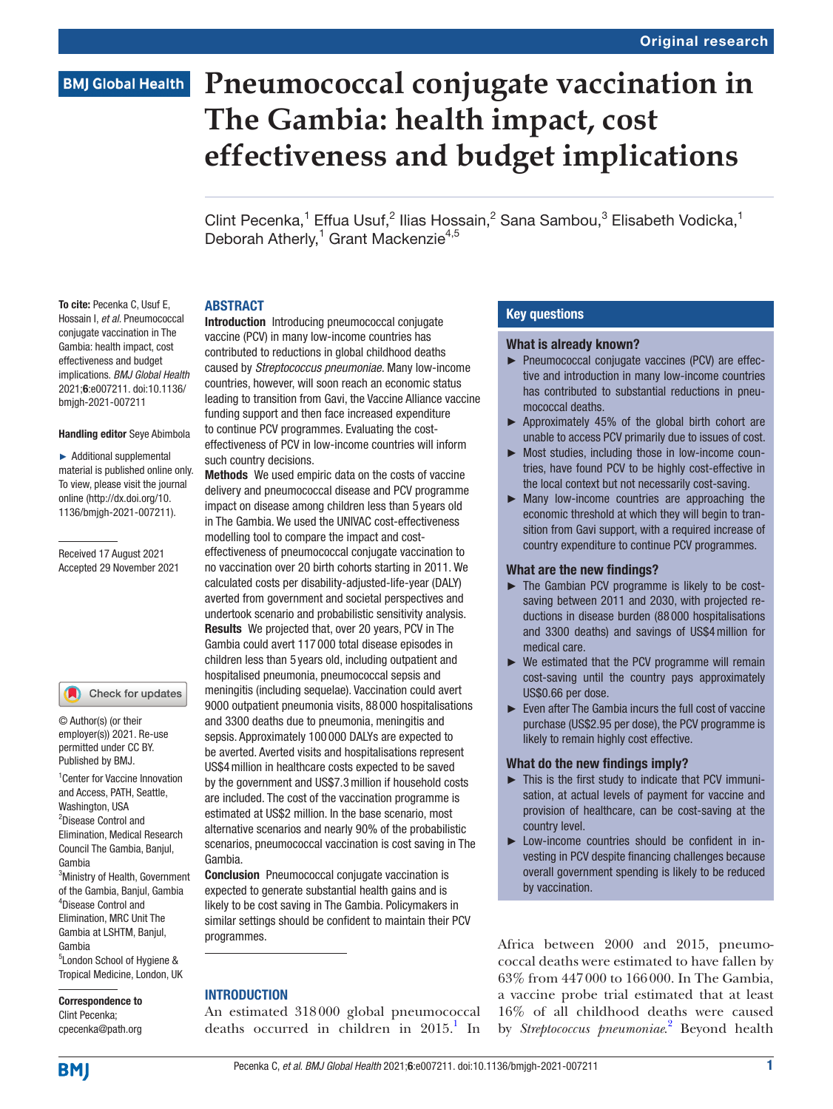#### Original research

# **BMJ Global Health**

# **Pneumococcal conjugate vaccination in The Gambia: health impact, cost effectiveness and budget implications**

Clint Pecenka,<sup>1</sup> Effua Usuf,<sup>2</sup> Ilias Hossain,<sup>2</sup> Sana Sambou,<sup>3</sup> Elisabeth Vodicka,<sup>1</sup> Deborah Atherly,<sup>1</sup> Grant Mackenzie<sup>4,5</sup>

#### ABSTRACT

To cite: Pecenka C, Usuf E, Hossain I, *et al*. Pneumococcal conjugate vaccination in The Gambia: health impact, cost effectiveness and budget implications. *BMJ Global Health* 2021;6:e007211. doi:10.1136/ bmjgh-2021-007211

#### Handling editor Seye Abimbola

► Additional supplemental material is published online only. To view, please visit the journal online ([http://dx.doi.org/10.](http://dx.doi.org/10.1136/bmjgh-2021-007211) [1136/bmjgh-2021-007211](http://dx.doi.org/10.1136/bmjgh-2021-007211)).

Received 17 August 2021 Accepted 29 November 2021



© Author(s) (or their employer(s)) 2021. Re-use permitted under CC BY. Published by BMJ.

1 Center for Vaccine Innovation and Access, PATH, Seattle, Washington, USA 2 Disease Control and Elimination, Medical Research Council The Gambia, Banjul, Gambia 3 Ministry of Health, Government of the Gambia, Banjul, Gambia 4 Disease Control and Elimination, MRC Unit The Gambia at LSHTM, Banjul, Gambia 5 London School of Hygiene & Tropical Medicine, London, UK

Correspondence to Clint Pecenka; cpecenka@path.org Introduction Introducing pneumococcal conjugate vaccine (PCV) in many low-income countries has contributed to reductions in global childhood deaths caused by *Streptococcus pneumoniae*. Many low-income countries, however, will soon reach an economic status leading to transition from Gavi, the Vaccine Alliance vaccine funding support and then face increased expenditure to continue PCV programmes. Evaluating the costeffectiveness of PCV in low-income countries will inform such country decisions.

Methods We used empiric data on the costs of vaccine delivery and pneumococcal disease and PCV programme impact on disease among children less than 5 years old in The Gambia. We used the UNIVAC cost-effectiveness modelling tool to compare the impact and costeffectiveness of pneumococcal conjugate vaccination to no vaccination over 20 birth cohorts starting in 2011. We calculated costs per disability-adjusted-life-year (DALY) averted from government and societal perspectives and undertook scenario and probabilistic sensitivity analysis. Results We projected that, over 20 years, PCV in The Gambia could avert 117 000 total disease episodes in children less than 5 years old, including outpatient and hospitalised pneumonia, pneumococcal sepsis and meningitis (including sequelae). Vaccination could avert 9000 outpatient pneumonia visits, 88 000 hospitalisations and 3300 deaths due to pneumonia, meningitis and sepsis. Approximately 100 000 DALYs are expected to be averted. Averted visits and hospitalisations represent US\$4million in healthcare costs expected to be saved by the government and US\$7.3million if household costs are included. The cost of the vaccination programme is estimated at US\$2 million. In the base scenario, most alternative scenarios and nearly 90% of the probabilistic scenarios, pneumococcal vaccination is cost saving in The Gambia.

Conclusion Pneumococcal conjugate vaccination is expected to generate substantial health gains and is likely to be cost saving in The Gambia. Policymakers in similar settings should be confident to maintain their PCV programmes.

#### INTRODUCTION

An estimated 318000 global pneumococcal deaths occurred in children in  $2015$  $2015$  $2015$ .<sup>1</sup> In

#### Key questions

#### What is already known?

- ► Pneumococcal conjugate vaccines (PCV) are effective and introduction in many low-income countries has contributed to substantial reductions in pneumococcal deaths.
- ► Approximately 45% of the global birth cohort are unable to access PCV primarily due to issues of cost.
- ► Most studies, including those in low-income countries, have found PCV to be highly cost-effective in the local context but not necessarily cost-saving.
- ► Many low-income countries are approaching the economic threshold at which they will begin to transition from Gavi support, with a required increase of country expenditure to continue PCV programmes.

#### What are the new findings?

- ► The Gambian PCV programme is likely to be costsaving between 2011 and 2030, with projected reductions in disease burden (88 000 hospitalisations and 3300 deaths) and savings of US\$4million for medical care.
- $\triangleright$  We estimated that the PCV programme will remain cost-saving until the country pays approximately US\$0.66 per dose.
- ► Even after The Gambia incurs the full cost of vaccine purchase (US\$2.95 per dose), the PCV programme is likely to remain highly cost effective.

#### What do the new findings imply?

- ► This is the first study to indicate that PCV immunisation, at actual levels of payment for vaccine and provision of healthcare, can be cost-saving at the country level.
- ► Low-income countries should be confident in investing in PCV despite financing challenges because overall government spending is likely to be reduced by vaccination.

Africa between 2000 and 2015, pneumococcal deaths were estimated to have fallen by 63% from 447000 to 166000. In The Gambia, a vaccine probe trial estimated that at least 16% of all childhood deaths were caused by *Streptococcus pneumoniae*.<sup>[2](#page-9-1)</sup> Beyond health

**BMI**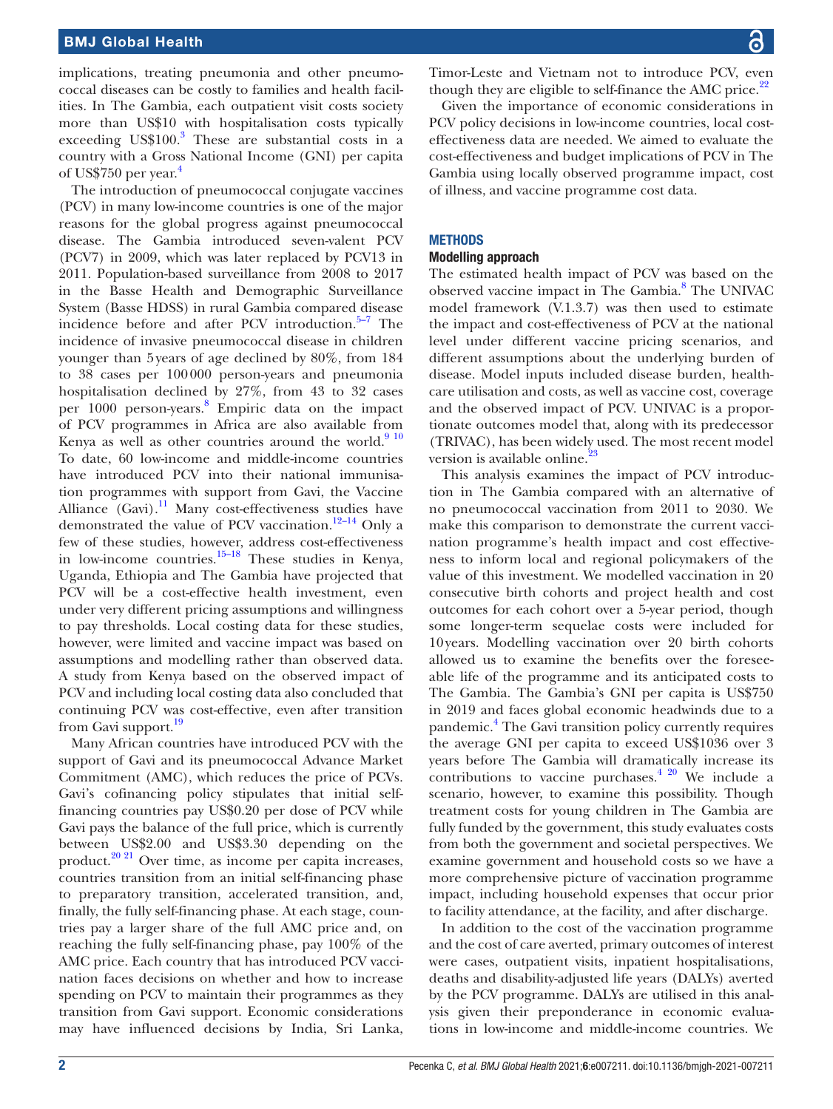implications, treating pneumonia and other pneumococcal diseases can be costly to families and health facilities. In The Gambia, each outpatient visit costs society more than US\$10 with hospitalisation costs typically exceeding US\$100.<sup>[3](#page-9-2)</sup> These are substantial costs in a country with a Gross National Income (GNI) per capita of US\$750 per year. $4$ 

The introduction of pneumococcal conjugate vaccines (PCV) in many low-income countries is one of the major reasons for the global progress against pneumococcal disease. The Gambia introduced seven-valent PCV (PCV7) in 2009, which was later replaced by PCV13 in 2011. Population-based surveillance from 2008 to 2017 in the Basse Health and Demographic Surveillance System (Basse HDSS) in rural Gambia compared disease incidence before and after PCV introduction. $5-7$  The incidence of invasive pneumococcal disease in children younger than 5years of age declined by 80%, from 184 to 38 cases per 100000 person-years and pneumonia hospitalisation declined by 27%, from 43 to 32 cases per 1000 person-years. [8](#page-9-5) Empiric data on the impact of PCV programmes in Africa are also available from Kenya as well as other countries around the world. $910$ To date, 60 low-income and middle-income countries have introduced PCV into their national immunisation programmes with support from Gavi, the Vaccine Alliance (Gavi).<sup>[11](#page-9-7)</sup> Many cost-effectiveness studies have demonstrated the value of PCV vaccination.<sup>12–14</sup> Only a few of these studies, however, address cost-effectiveness in low-income countries. $15-18$  These studies in Kenya, Uganda, Ethiopia and The Gambia have projected that PCV will be a cost-effective health investment, even under very different pricing assumptions and willingness to pay thresholds. Local costing data for these studies, however, were limited and vaccine impact was based on assumptions and modelling rather than observed data. A study from Kenya based on the observed impact of PCV and including local costing data also concluded that continuing PCV was cost-effective, even after transition from Gavi support.<sup>[19](#page-9-10)</sup>

Many African countries have introduced PCV with the support of Gavi and its pneumococcal Advance Market Commitment (AMC), which reduces the price of PCVs. Gavi's cofinancing policy stipulates that initial selffinancing countries pay US\$0.20 per dose of PCV while Gavi pays the balance of the full price, which is currently between US\$2.00 and US\$3.30 depending on the product. $20\frac{2}{1}$  Over time, as income per capita increases, countries transition from an initial self-financing phase to preparatory transition, accelerated transition, and, finally, the fully self-financing phase. At each stage, countries pay a larger share of the full AMC price and, on reaching the fully self-financing phase, pay 100% of the AMC price. Each country that has introduced PCV vaccination faces decisions on whether and how to increase spending on PCV to maintain their programmes as they transition from Gavi support. Economic considerations may have influenced decisions by India, Sri Lanka,

Timor-Leste and Vietnam not to introduce PCV, even though they are eligible to self-finance the AMC price. $2^2$ 

Given the importance of economic considerations in PCV policy decisions in low-income countries, local costeffectiveness data are needed. We aimed to evaluate the cost-effectiveness and budget implications of PCV in The Gambia using locally observed programme impact, cost of illness, and vaccine programme cost data.

#### **METHODS**

#### Modelling approach

The estimated health impact of PCV was based on the observed vaccine impact in The Gambia.<sup>[8](#page-9-5)</sup> The UNIVAC model framework (V.1.3.7) was then used to estimate the impact and cost-effectiveness of PCV at the national level under different vaccine pricing scenarios, and different assumptions about the underlying burden of disease. Model inputs included disease burden, healthcare utilisation and costs, as well as vaccine cost, coverage and the observed impact of PCV. UNIVAC is a proportionate outcomes model that, along with its predecessor (TRIVAC), has been widely used. The most recent model version is available online.<sup>[23](#page-9-13)</sup>

This analysis examines the impact of PCV introduction in The Gambia compared with an alternative of no pneumococcal vaccination from 2011 to 2030. We make this comparison to demonstrate the current vaccination programme's health impact and cost effectiveness to inform local and regional policymakers of the value of this investment. We modelled vaccination in 20 consecutive birth cohorts and project health and cost outcomes for each cohort over a 5-year period, though some longer-term sequelae costs were included for 10years. Modelling vaccination over 20 birth cohorts allowed us to examine the benefits over the foreseeable life of the programme and its anticipated costs to The Gambia. The Gambia's GNI per capita is US\$750 in 2019 and faces global economic headwinds due to a pandemic.<sup>[4](#page-9-3)</sup> The Gavi transition policy currently requires the average GNI per capita to exceed US\$1036 over 3 years before The Gambia will dramatically increase its contributions to vaccine purchases.<sup>4 20</sup> We include a scenario, however, to examine this possibility. Though treatment costs for young children in The Gambia are fully funded by the government, this study evaluates costs from both the government and societal perspectives. We examine government and household costs so we have a more comprehensive picture of vaccination programme impact, including household expenses that occur prior to facility attendance, at the facility, and after discharge.

In addition to the cost of the vaccination programme and the cost of care averted, primary outcomes of interest were cases, outpatient visits, inpatient hospitalisations, deaths and disability-adjusted life years (DALYs) averted by the PCV programme. DALYs are utilised in this analysis given their preponderance in economic evaluations in low-income and middle-income countries. We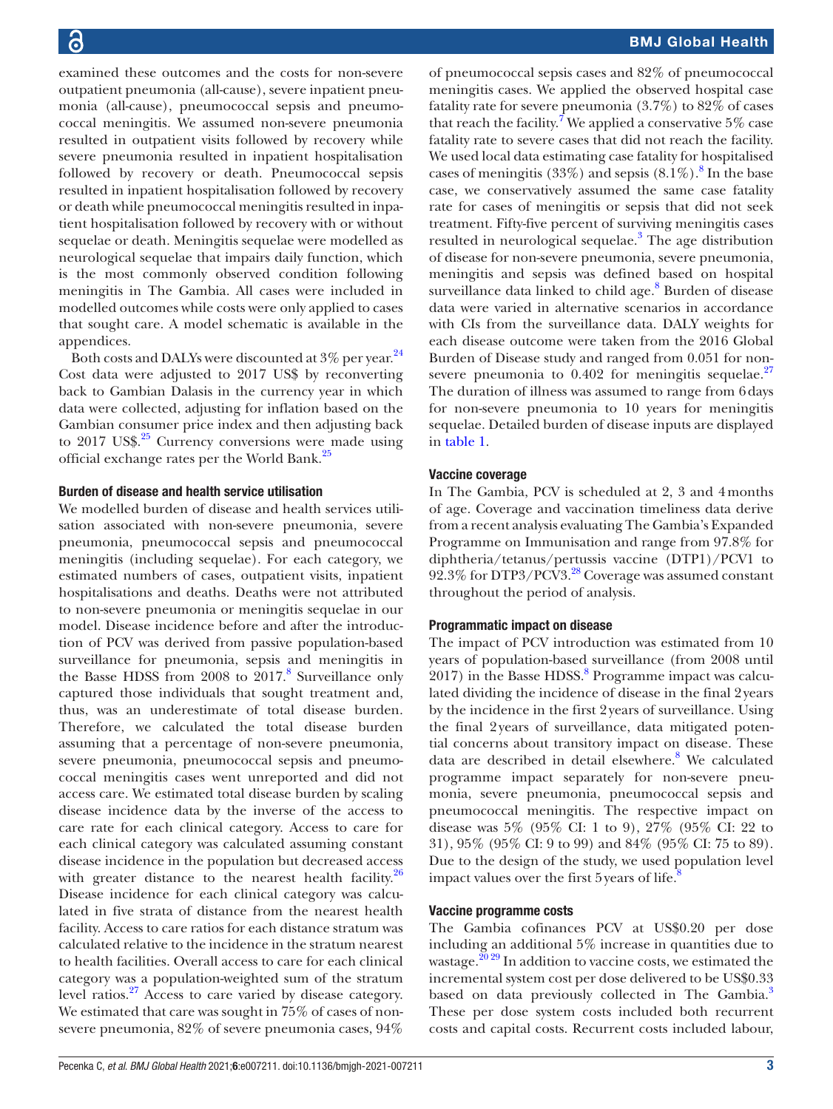examined these outcomes and the costs for non-severe outpatient pneumonia (all-cause), severe inpatient pneumonia (all-cause), pneumococcal sepsis and pneumococcal meningitis. We assumed non-severe pneumonia resulted in outpatient visits followed by recovery while severe pneumonia resulted in inpatient hospitalisation followed by recovery or death. Pneumococcal sepsis resulted in inpatient hospitalisation followed by recovery or death while pneumococcal meningitis resulted in inpatient hospitalisation followed by recovery with or without sequelae or death. Meningitis sequelae were modelled as neurological sequelae that impairs daily function, which is the most commonly observed condition following meningitis in The Gambia. All cases were included in modelled outcomes while costs were only applied to cases that sought care. A model schematic is available in the appendices.

Both costs and DALYs were discounted at 3% per year.<sup>[24](#page-9-14)</sup> Cost data were adjusted to 2017 US\$ by reconverting back to Gambian Dalasis in the currency year in which data were collected, adjusting for inflation based on the Gambian consumer price index and then adjusting back to  $2017 \text{ US}$ \$.<sup>25</sup> Currency conversions were made using official exchange rates per the World Bank.[25](#page-9-15)

#### Burden of disease and health service utilisation

We modelled burden of disease and health services utilisation associated with non-severe pneumonia, severe pneumonia, pneumococcal sepsis and pneumococcal meningitis (including sequelae). For each category, we estimated numbers of cases, outpatient visits, inpatient hospitalisations and deaths. Deaths were not attributed to non-severe pneumonia or meningitis sequelae in our model. Disease incidence before and after the introduction of PCV was derived from passive population-based surveillance for pneumonia, sepsis and meningitis in the Basse HDSS from  $2008$  $2008$  to  $2017.8$  Surveillance only captured those individuals that sought treatment and, thus, was an underestimate of total disease burden. Therefore, we calculated the total disease burden assuming that a percentage of non-severe pneumonia, severe pneumonia, pneumococcal sepsis and pneumococcal meningitis cases went unreported and did not access care. We estimated total disease burden by scaling disease incidence data by the inverse of the access to care rate for each clinical category. Access to care for each clinical category was calculated assuming constant disease incidence in the population but decreased access with greater distance to the nearest health facility. $26$ Disease incidence for each clinical category was calculated in five strata of distance from the nearest health facility. Access to care ratios for each distance stratum was calculated relative to the incidence in the stratum nearest to health facilities. Overall access to care for each clinical category was a population-weighted sum of the stratum level ratios.<sup>[27](#page-9-17)</sup> Access to care varied by disease category. We estimated that care was sought in 75% of cases of nonsevere pneumonia, 82% of severe pneumonia cases, 94%

of pneumococcal sepsis cases and 82% of pneumococcal meningitis cases. We applied the observed hospital case fatality rate for severe pneumonia (3.7%) to 82% of cases that reach the facility.<sup>[7](#page-9-18)</sup> We applied a conservative 5% case fatality rate to severe cases that did not reach the facility. We used local data estimating case fatality for hospitalised cases of meningitis (33%) and sepsis  $(8.1\%)$  $(8.1\%)$  $(8.1\%)$ .<sup>8</sup> In the base case, we conservatively assumed the same case fatality rate for cases of meningitis or sepsis that did not seek treatment. Fifty-five percent of surviving meningitis cases resulted in neurological sequelae.<sup>[3](#page-9-2)</sup> The age distribution of disease for non-severe pneumonia, severe pneumonia, meningitis and sepsis was defined based on hospital surveillance data linked to child age.<sup>8</sup> Burden of disease data were varied in alternative scenarios in accordance with CIs from the surveillance data. DALY weights for each disease outcome were taken from the 2016 Global Burden of Disease study and ranged from 0.051 for nonsevere pneumonia to  $0.402$  for meningitis sequelae.<sup>[27](#page-9-17)</sup> The duration of illness was assumed to range from 6days for non-severe pneumonia to 10 years for meningitis sequelae. Detailed burden of disease inputs are displayed in [table](#page-3-0) 1.

#### Vaccine coverage

In The Gambia, PCV is scheduled at 2, 3 and 4months of age. Coverage and vaccination timeliness data derive from a recent analysis evaluating The Gambia's Expanded Programme on Immunisation and range from 97.8% for diphtheria/tetanus/pertussis vaccine (DTP1)/PCV1 to 92.3% for DTP3/PCV3.[28](#page-9-19) Coverage was assumed constant throughout the period of analysis.

#### Programmatic impact on disease

The impact of PCV introduction was estimated from 10 years of population-based surveillance (from 2008 until  $2017$ ) in the Basse HDSS. $8$  Programme impact was calculated dividing the incidence of disease in the final 2years by the incidence in the first 2years of surveillance. Using the final 2years of surveillance, data mitigated potential concerns about transitory impact on disease. These data are described in detail elsewhere.<sup>[8](#page-9-5)</sup> We calculated programme impact separately for non-severe pneumonia, severe pneumonia, pneumococcal sepsis and pneumococcal meningitis. The respective impact on disease was 5% (95% CI: 1 to 9), 27% (95% CI: 22 to 31), 95% (95% CI: 9 to 99) and 84% (95% CI: 75 to 89). Due to the design of the study, we used population level impact values over the first 5 years of life. $\delta$ 

#### Vaccine programme costs

The Gambia cofinances PCV at US\$0.20 per dose including an additional 5% increase in quantities due to wastage.<sup>20 29</sup> In addition to vaccine costs, we estimated the incremental system cost per dose delivered to be US\$0.33 based on data previously collected in The Gambia.<sup>[3](#page-9-2)</sup> These per dose system costs included both recurrent costs and capital costs. Recurrent costs included labour,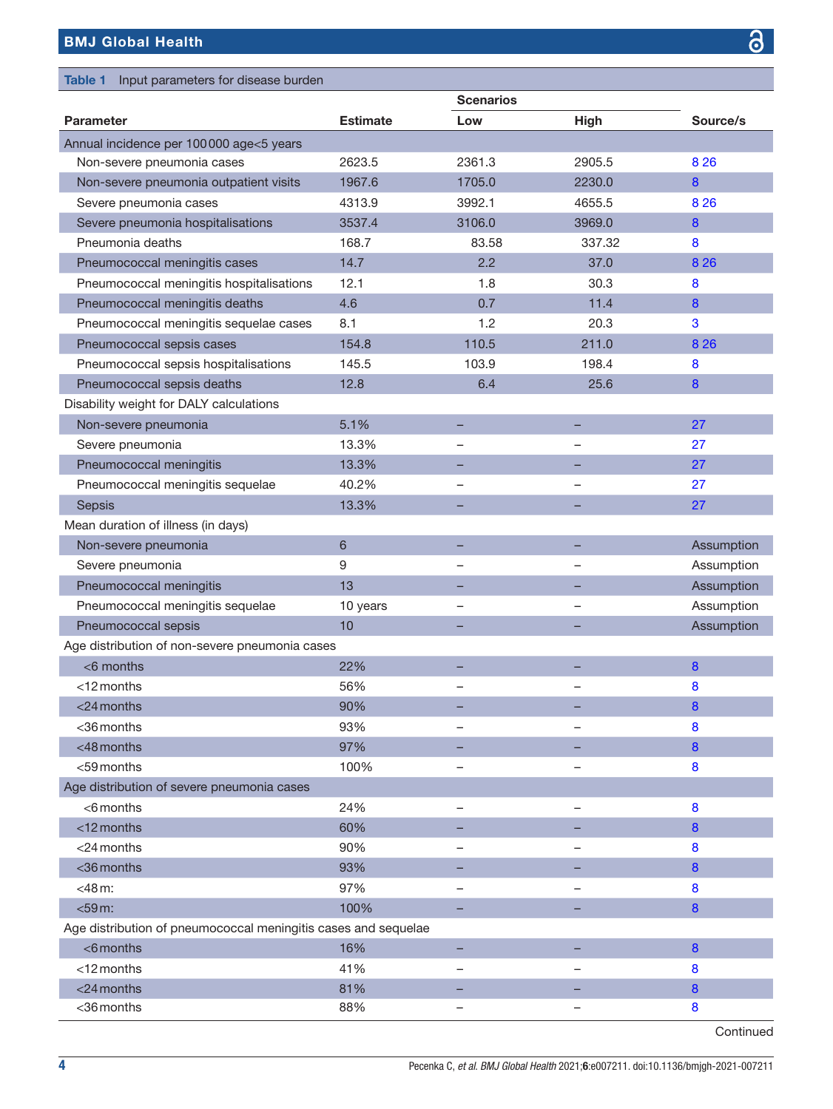# BMJ Global Health

<span id="page-3-0"></span>

| Input parameters for disease burden<br><b>Table 1</b>          |                 |                   |             |                |
|----------------------------------------------------------------|-----------------|-------------------|-------------|----------------|
|                                                                |                 | <b>Scenarios</b>  |             |                |
| <b>Parameter</b>                                               | <b>Estimate</b> | Low               | <b>High</b> | Source/s       |
| Annual incidence per 100000 age<5 years                        |                 |                   |             |                |
| Non-severe pneumonia cases                                     | 2623.5          | 2361.3            | 2905.5      | 8 2 6          |
| Non-severe pneumonia outpatient visits                         | 1967.6          | 1705.0            | 2230.0      | 8              |
| Severe pneumonia cases                                         | 4313.9          | 3992.1            | 4655.5      | 8 2 6          |
| Severe pneumonia hospitalisations                              | 3537.4          | 3106.0            | 3969.0      | 8              |
| Pneumonia deaths                                               | 168.7           | 83.58             | 337.32      | 8              |
| Pneumococcal meningitis cases                                  | 14.7            | 2.2               | 37.0        | 8 2 6          |
| Pneumococcal meningitis hospitalisations                       | 12.1            | 1.8               | 30.3        | 8              |
| Pneumococcal meningitis deaths                                 | 4.6             | 0.7               | 11.4        | 8              |
| Pneumococcal meningitis sequelae cases                         | 8.1             | 1.2               | 20.3        | 3              |
| Pneumococcal sepsis cases                                      | 154.8           | 110.5             | 211.0       | 8 2 6          |
| Pneumococcal sepsis hospitalisations                           | 145.5           | 103.9             | 198.4       | 8              |
| Pneumococcal sepsis deaths                                     | 12.8            | 6.4               | 25.6        | 8              |
| Disability weight for DALY calculations                        |                 |                   |             |                |
| Non-severe pneumonia                                           | 5.1%            |                   |             | 27             |
| Severe pneumonia                                               | 13.3%           |                   |             | 27             |
| Pneumococcal meningitis                                        | 13.3%           |                   |             | 27             |
| Pneumococcal meningitis sequelae                               | 40.2%           |                   |             | 27             |
| Sepsis                                                         | 13.3%           |                   |             | 27             |
| Mean duration of illness (in days)                             |                 |                   |             |                |
| Non-severe pneumonia                                           | 6               |                   |             | Assumption     |
| Severe pneumonia                                               | 9               |                   |             | Assumption     |
| Pneumococcal meningitis                                        | 13              |                   |             | Assumption     |
| Pneumococcal meningitis sequelae                               | 10 years        |                   |             | Assumption     |
| Pneumococcal sepsis                                            | 10              |                   |             | Assumption     |
| Age distribution of non-severe pneumonia cases                 |                 |                   |             |                |
| $<$ 6 months                                                   | 22%             |                   |             | 8              |
| <12 months                                                     | 56%             |                   |             | 8              |
| $<$ 24 months                                                  | 90%             |                   |             | 8              |
| <36 months                                                     | 93%             |                   |             | 8              |
| <48 months                                                     | 97%             |                   |             | $\bf{8}$       |
| <59 months                                                     | 100%            |                   |             | $\bf{8}$       |
| Age distribution of severe pneumonia cases                     |                 |                   |             |                |
| $<$ 6 months                                                   | 24%             | $\qquad \qquad -$ |             | 8              |
| $<$ 12 months                                                  | 60%             |                   |             | $\overline{8}$ |
| <24 months                                                     | 90%             |                   |             | 8              |
| <36 months                                                     | 93%             |                   |             | 8              |
| $<$ 48 m:                                                      | 97%             |                   |             | 8              |
| $<$ 59 $m$ :                                                   | 100%            |                   |             | 8              |
| Age distribution of pneumococcal meningitis cases and sequelae |                 |                   |             |                |
| $<$ 6 months                                                   | 16%             |                   |             | $\bf{8}$       |
| <12 months                                                     | 41%             |                   |             | 8              |
| <24 months                                                     | 81%             |                   |             | 8              |
| <36 months                                                     | 88%             |                   |             | 8              |
|                                                                |                 |                   |             |                |

Continued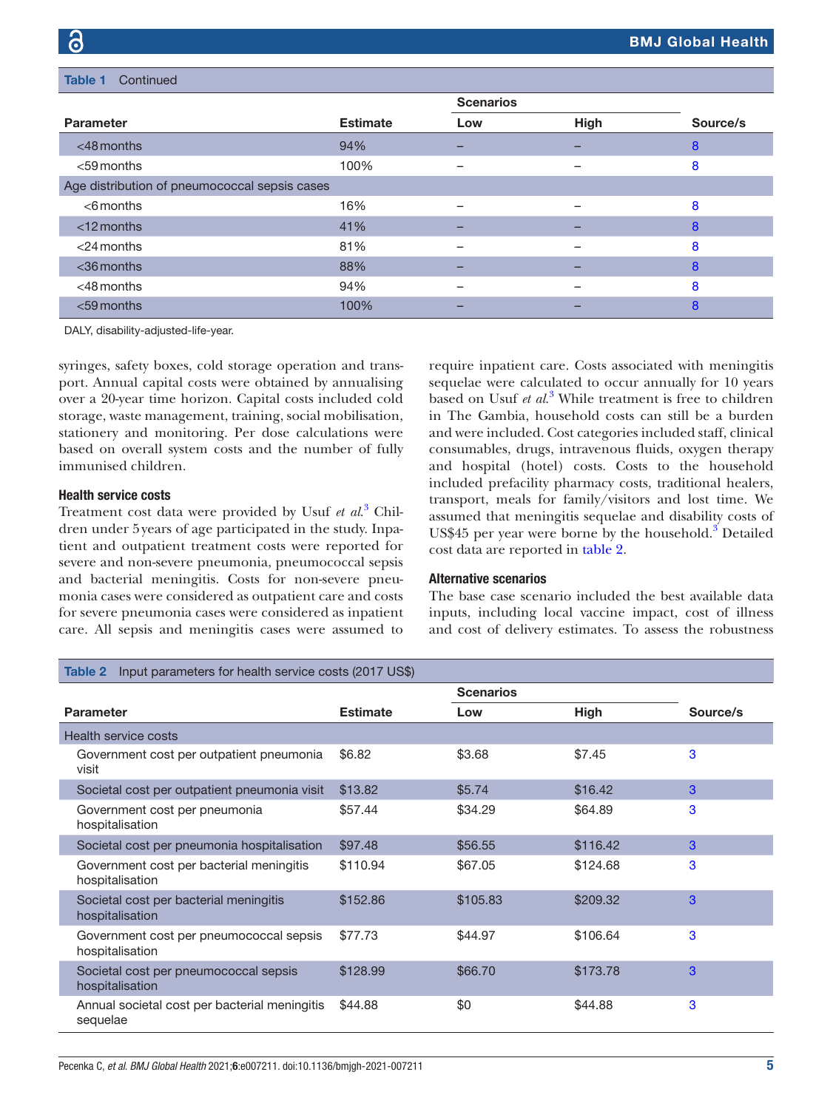| <b>Table 1</b><br>Continued                   |                 |                  |             |          |  |
|-----------------------------------------------|-----------------|------------------|-------------|----------|--|
|                                               |                 | <b>Scenarios</b> |             |          |  |
| <b>Parameter</b>                              | <b>Estimate</b> | Low              | <b>High</b> | Source/s |  |
| $<$ 48 months                                 | 94%             |                  |             | 8        |  |
| $<$ 59 months                                 | 100%            |                  |             | 8        |  |
| Age distribution of pneumococcal sepsis cases |                 |                  |             |          |  |
| $<$ 6 months                                  | 16%             |                  |             | 8        |  |
| $<$ 12 months                                 | 41%             |                  |             | 8        |  |
| $<$ 24 months                                 | 81%             |                  |             | 8        |  |
| $<$ 36 months                                 | 88%             |                  |             | 8        |  |
| $<$ 48 months                                 | 94%             |                  |             | 8        |  |
| $<$ 59 months                                 | 100%            |                  |             | 8        |  |

DALY, disability-adjusted-life-year.

syringes, safety boxes, cold storage operation and transport. Annual capital costs were obtained by annualising over a 20-year time horizon. Capital costs included cold storage, waste management, training, social mobilisation, stationery and monitoring. Per dose calculations were based on overall system costs and the number of fully immunised children.

#### Health service costs

Treatment cost data were provided by Usuf *et al*. [3](#page-9-2) Children under 5years of age participated in the study. Inpatient and outpatient treatment costs were reported for severe and non-severe pneumonia, pneumococcal sepsis and bacterial meningitis. Costs for non-severe pneumonia cases were considered as outpatient care and costs for severe pneumonia cases were considered as inpatient care. All sepsis and meningitis cases were assumed to

require inpatient care. Costs associated with meningitis sequelae were calculated to occur annually for 10 years based on Usuf *et al*. [3](#page-9-2) While treatment is free to children in The Gambia, household costs can still be a burden and were included. Cost categories included staff, clinical consumables, drugs, intravenous fluids, oxygen therapy and hospital (hotel) costs. Costs to the household included prefacility pharmacy costs, traditional healers, transport, meals for family/visitors and lost time. We assumed that meningitis sequelae and disability costs of US\$45 per year were borne by the household.<sup>[3](#page-9-2)</sup> Detailed cost data are reported in [table](#page-4-0) 2.

#### Alternative scenarios

The base case scenario included the best available data inputs, including local vaccine impact, cost of illness and cost of delivery estimates. To assess the robustness

<span id="page-4-0"></span>

| Input parameters for health service costs (2017 US\$)<br>Table 2 |                 |                  |             |          |  |
|------------------------------------------------------------------|-----------------|------------------|-------------|----------|--|
|                                                                  |                 | <b>Scenarios</b> |             |          |  |
| <b>Parameter</b>                                                 | <b>Estimate</b> | Low              | <b>High</b> | Source/s |  |
| Health service costs                                             |                 |                  |             |          |  |
| Government cost per outpatient pneumonia<br>visit                | \$6.82          | \$3.68           | \$7.45      | 3        |  |
| Societal cost per outpatient pneumonia visit                     | \$13.82         | \$5.74           | \$16.42     | 3        |  |
| Government cost per pneumonia<br>hospitalisation                 | \$57.44         | \$34.29          | \$64.89     | 3        |  |
| Societal cost per pneumonia hospitalisation                      | \$97.48         | \$56.55          | \$116.42    | 3        |  |
| Government cost per bacterial meningitis<br>hospitalisation      | \$110.94        | \$67.05          | \$124.68    | 3        |  |
| Societal cost per bacterial meningitis<br>hospitalisation        | \$152.86        | \$105.83         | \$209.32    | 3        |  |
| Government cost per pneumococcal sepsis<br>hospitalisation       | \$77.73         | \$44.97          | \$106.64    | 3        |  |
| Societal cost per pneumococcal sepsis<br>hospitalisation         | \$128.99        | \$66.70          | \$173.78    | 3        |  |
| Annual societal cost per bacterial meningitis<br>sequelae        | \$44.88         | \$0              | \$44.88     | 3        |  |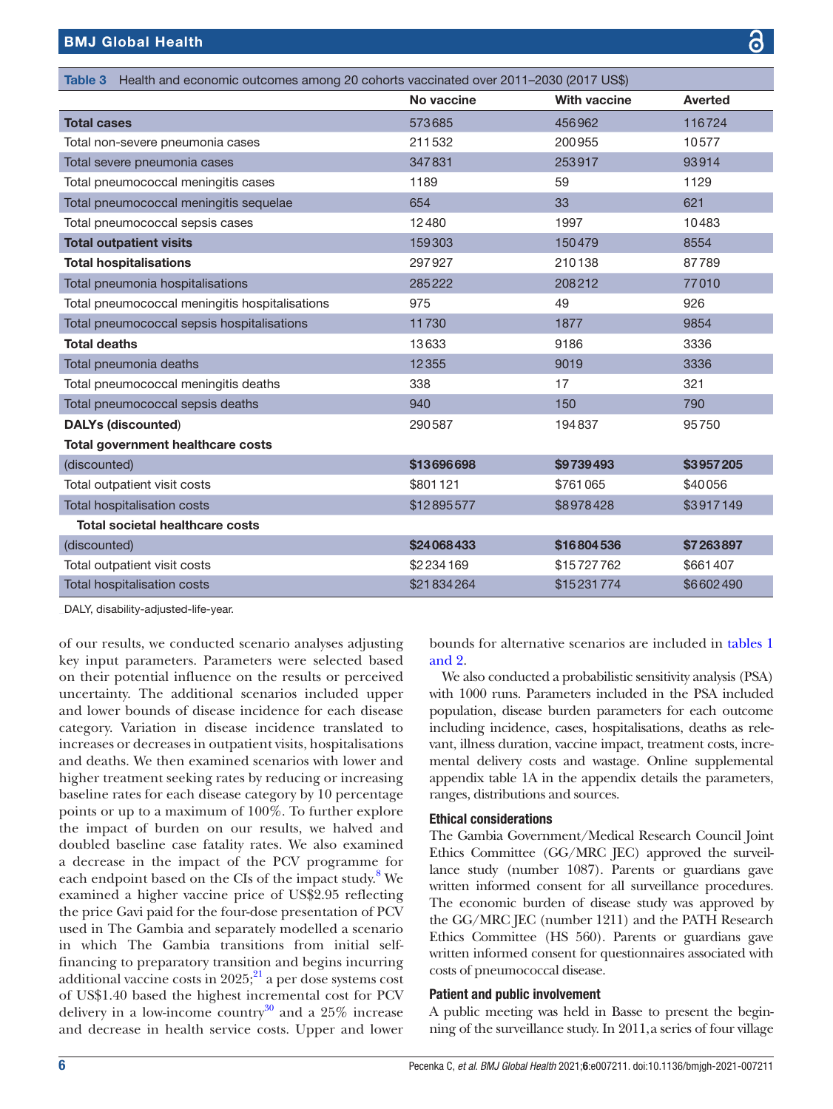<span id="page-5-0"></span>

| Table 3 Health and economic outcomes among 20 cohorts vaccinated over 2011-2030 (2017 US\$) |            |                     |                |  |
|---------------------------------------------------------------------------------------------|------------|---------------------|----------------|--|
|                                                                                             | No vaccine | <b>With vaccine</b> | <b>Averted</b> |  |
| <b>Total cases</b>                                                                          | 573685     | 456962              | 116724         |  |
| Total non-severe pneumonia cases                                                            | 211532     | 200955              | 10577          |  |
| Total severe pneumonia cases                                                                | 347831     | 253917              | 93914          |  |
| Total pneumococcal meningitis cases                                                         | 1189       | 59                  | 1129           |  |
| Total pneumococcal meningitis sequelae                                                      | 654        | 33                  | 621            |  |
| Total pneumococcal sepsis cases                                                             | 12480      | 1997                | 10483          |  |
| <b>Total outpatient visits</b>                                                              | 159303     | 150479              | 8554           |  |
| <b>Total hospitalisations</b>                                                               | 297927     | 210138              | 87789          |  |
| Total pneumonia hospitalisations                                                            | 285222     | 208212              | 77010          |  |
| Total pneumococcal meningitis hospitalisations                                              | 975        | 49                  | 926            |  |
| Total pneumococcal sepsis hospitalisations                                                  | 11730      | 1877                | 9854           |  |
| <b>Total deaths</b>                                                                         | 13633      | 9186                | 3336           |  |
| Total pneumonia deaths                                                                      | 12355      | 9019                | 3336           |  |
| Total pneumococcal meningitis deaths                                                        | 338        | 17                  | 321            |  |
| Total pneumococcal sepsis deaths                                                            | 940        | 150                 | 790            |  |
| <b>DALYs (discounted)</b>                                                                   | 290587     | 194837              | 95750          |  |
| Total government healthcare costs                                                           |            |                     |                |  |
| (discounted)                                                                                | \$13696698 | \$9739493           | \$3957205      |  |
| Total outpatient visit costs                                                                | \$801121   | \$761065            | \$40056        |  |
| Total hospitalisation costs                                                                 | \$12895577 | \$8978428           | \$3917149      |  |
| <b>Total societal healthcare costs</b>                                                      |            |                     |                |  |
| (discounted)                                                                                | \$24068433 | \$16804536          | \$7263897      |  |
| Total outpatient visit costs                                                                | \$2234169  | \$15727762          | \$661407       |  |
| <b>Total hospitalisation costs</b>                                                          | \$21834264 | \$15231774          | \$6602490      |  |

DALY, disability-adjusted-life-year.

of our results, we conducted scenario analyses adjusting key input parameters. Parameters were selected based on their potential influence on the results or perceived uncertainty. The additional scenarios included upper and lower bounds of disease incidence for each disease category. Variation in disease incidence translated to increases or decreases in outpatient visits, hospitalisations and deaths. We then examined scenarios with lower and higher treatment seeking rates by reducing or increasing baseline rates for each disease category by 10 percentage points or up to a maximum of 100%. To further explore the impact of burden on our results, we halved and doubled baseline case fatality rates. We also examined a decrease in the impact of the PCV programme for each endpoint based on the CIs of the impact study.<sup>[8](#page-9-5)</sup> We examined a higher vaccine price of US\$2.95 reflecting the price Gavi paid for the four-dose presentation of PCV used in The Gambia and separately modelled a scenario in which The Gambia transitions from initial selffinancing to preparatory transition and begins incurring additional vaccine costs in  $2025$ ;  $^{21}$  a per dose systems cost of US\$1.40 based the highest incremental cost for PCV delivery in a low-income country $30$  and a 25% increase and decrease in health service costs. Upper and lower

bounds for alternative scenarios are included in [tables](#page-3-0) 1 [and 2](#page-3-0).

We also conducted a probabilistic sensitivity analysis (PSA) with 1000 runs. Parameters included in the PSA included population, disease burden parameters for each outcome including incidence, cases, hospitalisations, deaths as relevant, illness duration, vaccine impact, treatment costs, incremental delivery costs and wastage. [Online supplemental](https://dx.doi.org/10.1136/bmjgh-2021-007211) [appendix table 1A](https://dx.doi.org/10.1136/bmjgh-2021-007211) in the appendix details the parameters, ranges, distributions and sources.

#### Ethical considerations

The Gambia Government/Medical Research Council Joint Ethics Committee (GG/MRC [EC) approved the surveillance study (number 1087). Parents or guardians gave written informed consent for all surveillance procedures. The economic burden of disease study was approved by the GG/MRC JEC (number 1211) and the PATH Research Ethics Committee (HS 560). Parents or guardians gave written informed consent for questionnaires associated with costs of pneumococcal disease.

#### Patient and public involvement

A public meeting was held in Basse to present the beginning of the surveillance study. In 2011,a series of four village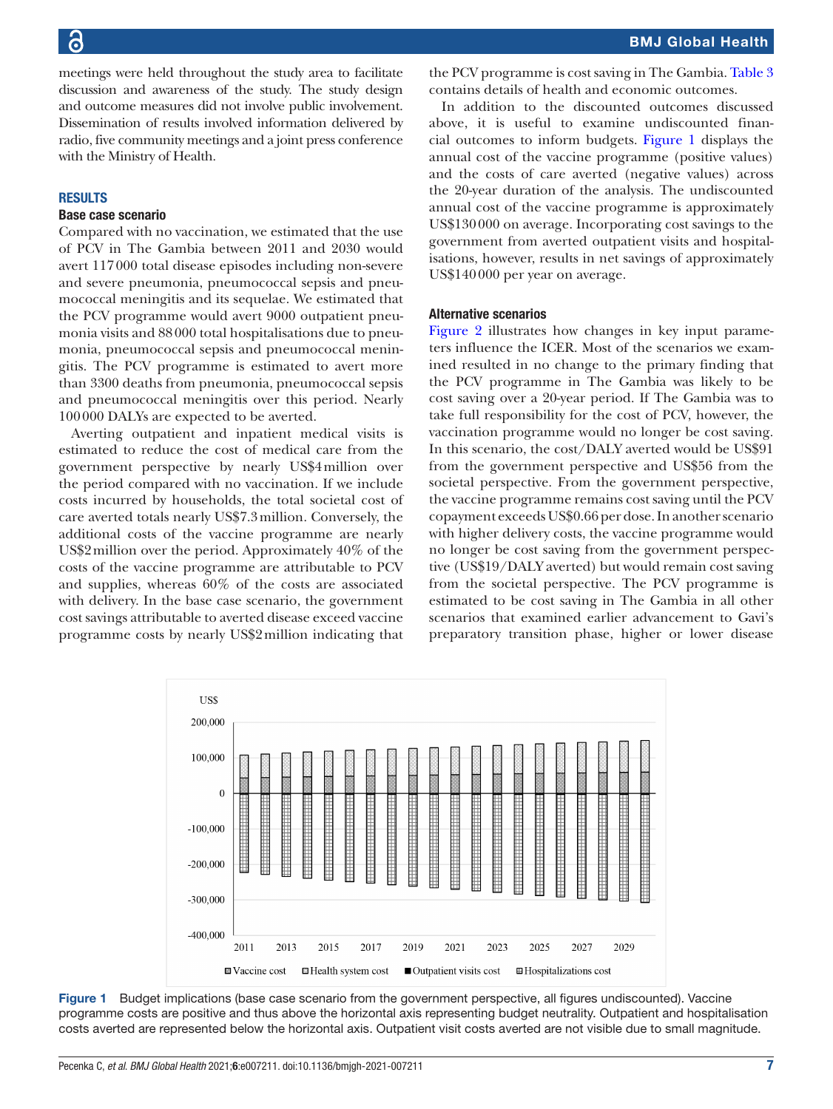meetings were held throughout the study area to facilitate discussion and awareness of the study. The study design and outcome measures did not involve public involvement. Dissemination of results involved information delivered by radio, five community meetings and a joint press conference with the Ministry of Health.

#### **RESULTS**

#### Base case scenario

Compared with no vaccination, we estimated that the use of PCV in The Gambia between 2011 and 2030 would avert 117000 total disease episodes including non-severe and severe pneumonia, pneumococcal sepsis and pneumococcal meningitis and its sequelae. We estimated that the PCV programme would avert 9000 outpatient pneumonia visits and 88000 total hospitalisations due to pneumonia, pneumococcal sepsis and pneumococcal meningitis. The PCV programme is estimated to avert more than 3300 deaths from pneumonia, pneumococcal sepsis and pneumococcal meningitis over this period. Nearly 100000 DALYs are expected to be averted.

Averting outpatient and inpatient medical visits is estimated to reduce the cost of medical care from the government perspective by nearly US\$4million over the period compared with no vaccination. If we include costs incurred by households, the total societal cost of care averted totals nearly US\$7.3million. Conversely, the additional costs of the vaccine programme are nearly US\$2million over the period. Approximately 40% of the costs of the vaccine programme are attributable to PCV and supplies, whereas 60% of the costs are associated with delivery. In the base case scenario, the government cost savings attributable to averted disease exceed vaccine programme costs by nearly US\$2million indicating that the PCV programme is cost saving in The Gambia. [Table](#page-5-0) 3 contains details of health and economic outcomes.

In addition to the discounted outcomes discussed above, it is useful to examine undiscounted financial outcomes to inform budgets. [Figure](#page-6-0) 1 displays the annual cost of the vaccine programme (positive values) and the costs of care averted (negative values) across the 20-year duration of the analysis. The undiscounted annual cost of the vaccine programme is approximately US\$130000 on average. Incorporating cost savings to the government from averted outpatient visits and hospitalisations, however, results in net savings of approximately US\$140000 per year on average.

#### Alternative scenarios

[Figure](#page-7-0) 2 illustrates how changes in key input parameters influence the ICER. Most of the scenarios we examined resulted in no change to the primary finding that the PCV programme in The Gambia was likely to be cost saving over a 20-year period. If The Gambia was to take full responsibility for the cost of PCV, however, the vaccination programme would no longer be cost saving. In this scenario, the cost/DALY averted would be US\$91 from the government perspective and US\$56 from the societal perspective. From the government perspective, the vaccine programme remains cost saving until the PCV copayment exceeds US\$0.66 per dose. In another scenario with higher delivery costs, the vaccine programme would no longer be cost saving from the government perspective (US\$19/DALY averted) but would remain cost saving from the societal perspective. The PCV programme is estimated to be cost saving in The Gambia in all other scenarios that examined earlier advancement to Gavi's preparatory transition phase, higher or lower disease



<span id="page-6-0"></span>Figure 1 Budget implications (base case scenario from the government perspective, all figures undiscounted). Vaccine programme costs are positive and thus above the horizontal axis representing budget neutrality. Outpatient and hospitalisation costs averted are represented below the horizontal axis. Outpatient visit costs averted are not visible due to small magnitude.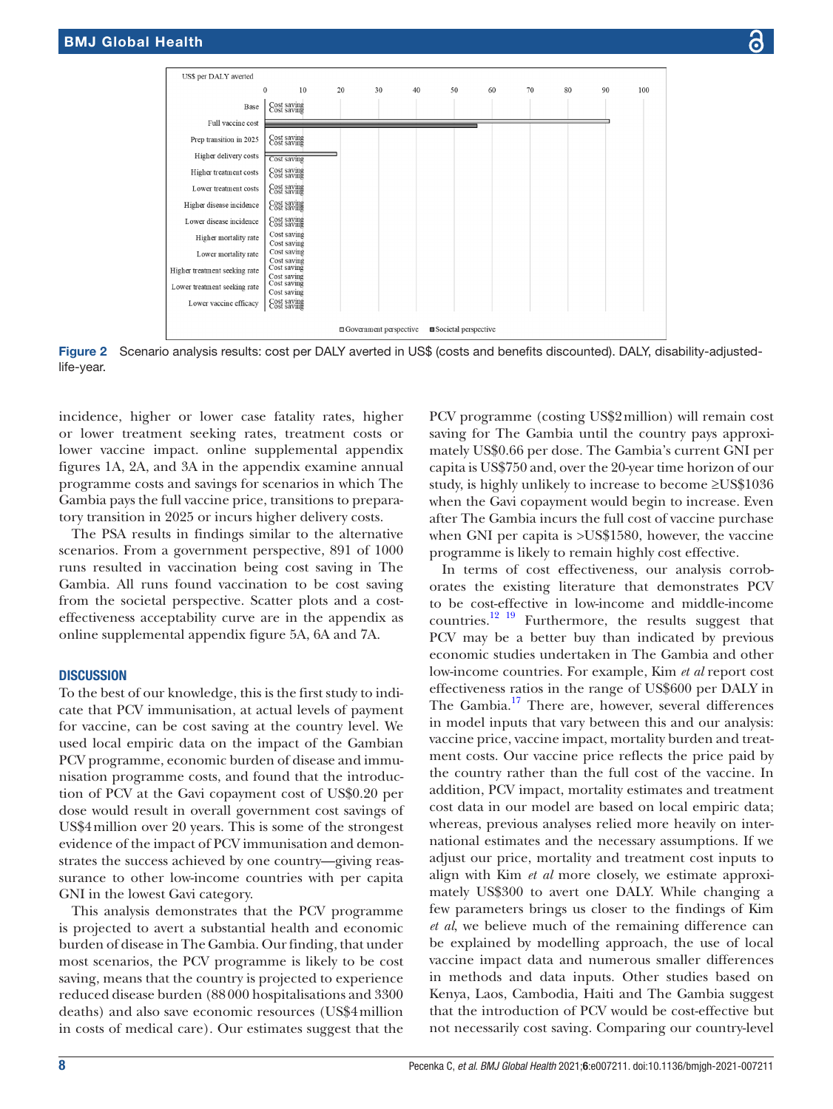

Figure 2 Scenario analysis results: cost per DALY averted in US\$ (costs and benefits discounted). DALY, disability-adjustedlife-year.

incidence, higher or lower case fatality rates, higher or lower treatment seeking rates, treatment costs or lower vaccine impact. [online supplemental appendix](https://dx.doi.org/10.1136/bmjgh-2021-007211)  [figures 1A, 2A, and 3A](https://dx.doi.org/10.1136/bmjgh-2021-007211) in the appendix examine annual programme costs and savings for scenarios in which The Gambia pays the full vaccine price, transitions to preparatory transition in 2025 or incurs higher delivery costs.

The PSA results in findings similar to the alternative scenarios. From a government perspective, 891 of 1000 runs resulted in vaccination being cost saving in The Gambia. All runs found vaccination to be cost saving from the societal perspective. Scatter plots and a costeffectiveness acceptability curve are in the appendix as [online supplemental appendix figure 5A, 6A and 7A.](https://dx.doi.org/10.1136/bmjgh-2021-007211)

#### **DISCUSSION**

To the best of our knowledge, this is the first study to indicate that PCV immunisation, at actual levels of payment for vaccine, can be cost saving at the country level. We used local empiric data on the impact of the Gambian PCV programme, economic burden of disease and immunisation programme costs, and found that the introduction of PCV at the Gavi copayment cost of US\$0.20 per dose would result in overall government cost savings of US\$4million over 20 years. This is some of the strongest evidence of the impact of PCV immunisation and demonstrates the success achieved by one country—giving reassurance to other low-income countries with per capita GNI in the lowest Gavi category.

This analysis demonstrates that the PCV programme is projected to avert a substantial health and economic burden of disease in The Gambia. Our finding, that under most scenarios, the PCV programme is likely to be cost saving, means that the country is projected to experience reduced disease burden (88000 hospitalisations and 3300 deaths) and also save economic resources (US\$4million in costs of medical care). Our estimates suggest that the

<span id="page-7-0"></span>PCV programme (costing US\$2million) will remain cost saving for The Gambia until the country pays approximately US\$0.66 per dose. The Gambia's current GNI per capita is US\$750 and, over the 20-year time horizon of our study, is highly unlikely to increase to become ≥US\$1036 when the Gavi copayment would begin to increase. Even after The Gambia incurs the full cost of vaccine purchase when GNI per capita is >US\$1580, however, the vaccine programme is likely to remain highly cost effective.

In terms of cost effectiveness, our analysis corroborates the existing literature that demonstrates PCV to be cost-effective in low-income and middle-income countries[.12 19](#page-9-8) Furthermore, the results suggest that PCV may be a better buy than indicated by previous economic studies undertaken in The Gambia and other low-income countries. For example, Kim *et al* report cost effectiveness ratios in the range of US\$600 per DALY in The Gambia.<sup>17</sup> There are, however, several differences in model inputs that vary between this and our analysis: vaccine price, vaccine impact, mortality burden and treatment costs. Our vaccine price reflects the price paid by the country rather than the full cost of the vaccine. In addition, PCV impact, mortality estimates and treatment cost data in our model are based on local empiric data; whereas, previous analyses relied more heavily on international estimates and the necessary assumptions. If we adjust our price, mortality and treatment cost inputs to align with Kim *et al* more closely, we estimate approximately US\$300 to avert one DALY. While changing a few parameters brings us closer to the findings of Kim *et al*, we believe much of the remaining difference can be explained by modelling approach, the use of local vaccine impact data and numerous smaller differences in methods and data inputs. Other studies based on Kenya, Laos, Cambodia, Haiti and The Gambia suggest that the introduction of PCV would be cost-effective but not necessarily cost saving. Comparing our country-level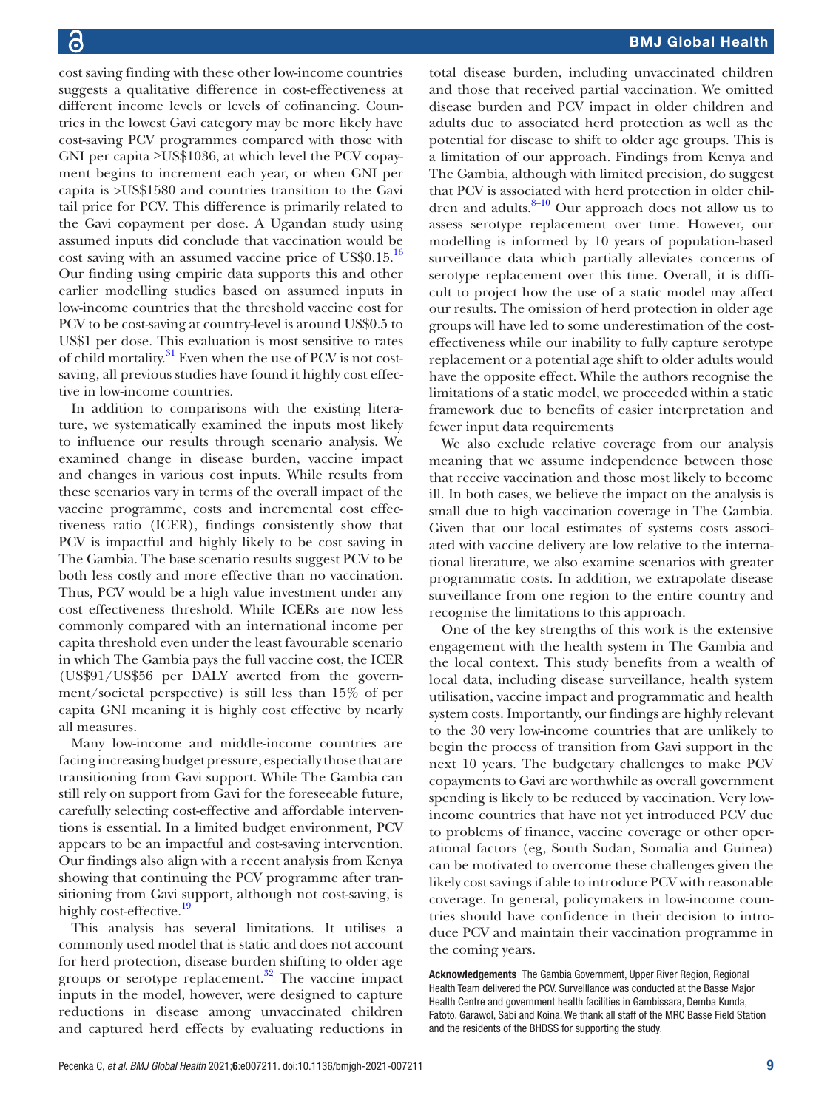cost saving finding with these other low-income countries suggests a qualitative difference in cost-effectiveness at different income levels or levels of cofinancing. Countries in the lowest Gavi category may be more likely have cost-saving PCV programmes compared with those with GNI per capita ≥US\$1036, at which level the PCV copayment begins to increment each year, or when GNI per capita is >US\$1580 and countries transition to the Gavi tail price for PCV. This difference is primarily related to the Gavi copayment per dose. A Ugandan study using assumed inputs did conclude that vaccination would be cost saving with an assumed vaccine price of US\$0.15[.16](#page-9-22) Our finding using empiric data supports this and other earlier modelling studies based on assumed inputs in low-income countries that the threshold vaccine cost for PCV to be cost-saving at country-level is around US\$0.5 to US\$1 per dose. This evaluation is most sensitive to rates of child mortality.<sup>[31](#page-10-1)</sup> Even when the use of PCV is not costsaving, all previous studies have found it highly cost effective in low-income countries.

In addition to comparisons with the existing literature, we systematically examined the inputs most likely to influence our results through scenario analysis. We examined change in disease burden, vaccine impact and changes in various cost inputs. While results from these scenarios vary in terms of the overall impact of the vaccine programme, costs and incremental cost effectiveness ratio (ICER), findings consistently show that PCV is impactful and highly likely to be cost saving in The Gambia. The base scenario results suggest PCV to be both less costly and more effective than no vaccination. Thus, PCV would be a high value investment under any cost effectiveness threshold. While ICERs are now less commonly compared with an international income per capita threshold even under the least favourable scenario in which The Gambia pays the full vaccine cost, the ICER (US\$91/US\$56 per DALY averted from the government/societal perspective) is still less than 15% of per capita GNI meaning it is highly cost effective by nearly all measures.

Many low-income and middle-income countries are facing increasing budget pressure, especially those that are transitioning from Gavi support. While The Gambia can still rely on support from Gavi for the foreseeable future, carefully selecting cost-effective and affordable interventions is essential. In a limited budget environment, PCV appears to be an impactful and cost-saving intervention. Our findings also align with a recent analysis from Kenya showing that continuing the PCV programme after transitioning from Gavi support, although not cost-saving, is highly cost-effective.<sup>[19](#page-9-10)</sup>

This analysis has several limitations. It utilises a commonly used model that is static and does not account for herd protection, disease burden shifting to older age groups or serotype replacement. $32$  The vaccine impact inputs in the model, however, were designed to capture reductions in disease among unvaccinated children and captured herd effects by evaluating reductions in

total disease burden, including unvaccinated children and those that received partial vaccination. We omitted disease burden and PCV impact in older children and adults due to associated herd protection as well as the potential for disease to shift to older age groups. This is a limitation of our approach. Findings from Kenya and The Gambia, although with limited precision, do suggest that PCV is associated with herd protection in older children and adults.<sup>8-10</sup> Our approach does not allow us to assess serotype replacement over time. However, our modelling is informed by 10 years of population-based surveillance data which partially alleviates concerns of serotype replacement over this time. Overall, it is difficult to project how the use of a static model may affect our results. The omission of herd protection in older age groups will have led to some underestimation of the costeffectiveness while our inability to fully capture serotype replacement or a potential age shift to older adults would have the opposite effect. While the authors recognise the limitations of a static model, we proceeded within a static framework due to benefits of easier interpretation and fewer input data requirements

We also exclude relative coverage from our analysis meaning that we assume independence between those that receive vaccination and those most likely to become ill. In both cases, we believe the impact on the analysis is small due to high vaccination coverage in The Gambia. Given that our local estimates of systems costs associated with vaccine delivery are low relative to the international literature, we also examine scenarios with greater programmatic costs. In addition, we extrapolate disease surveillance from one region to the entire country and recognise the limitations to this approach.

One of the key strengths of this work is the extensive engagement with the health system in The Gambia and the local context. This study benefits from a wealth of local data, including disease surveillance, health system utilisation, vaccine impact and programmatic and health system costs. Importantly, our findings are highly relevant to the 30 very low-income countries that are unlikely to begin the process of transition from Gavi support in the next 10 years. The budgetary challenges to make PCV copayments to Gavi are worthwhile as overall government spending is likely to be reduced by vaccination. Very lowincome countries that have not yet introduced PCV due to problems of finance, vaccine coverage or other operational factors (eg, South Sudan, Somalia and Guinea) can be motivated to overcome these challenges given the likely cost savings if able to introduce PCV with reasonable coverage. In general, policymakers in low-income countries should have confidence in their decision to introduce PCV and maintain their vaccination programme in the coming years.

Acknowledgements The Gambia Government, Upper River Region, Regional Health Team delivered the PCV. Surveillance was conducted at the Basse Major Health Centre and government health facilities in Gambissara, Demba Kunda, Fatoto, Garawol, Sabi and Koina. We thank all staff of the MRC Basse Field Station and the residents of the BHDSS for supporting the study.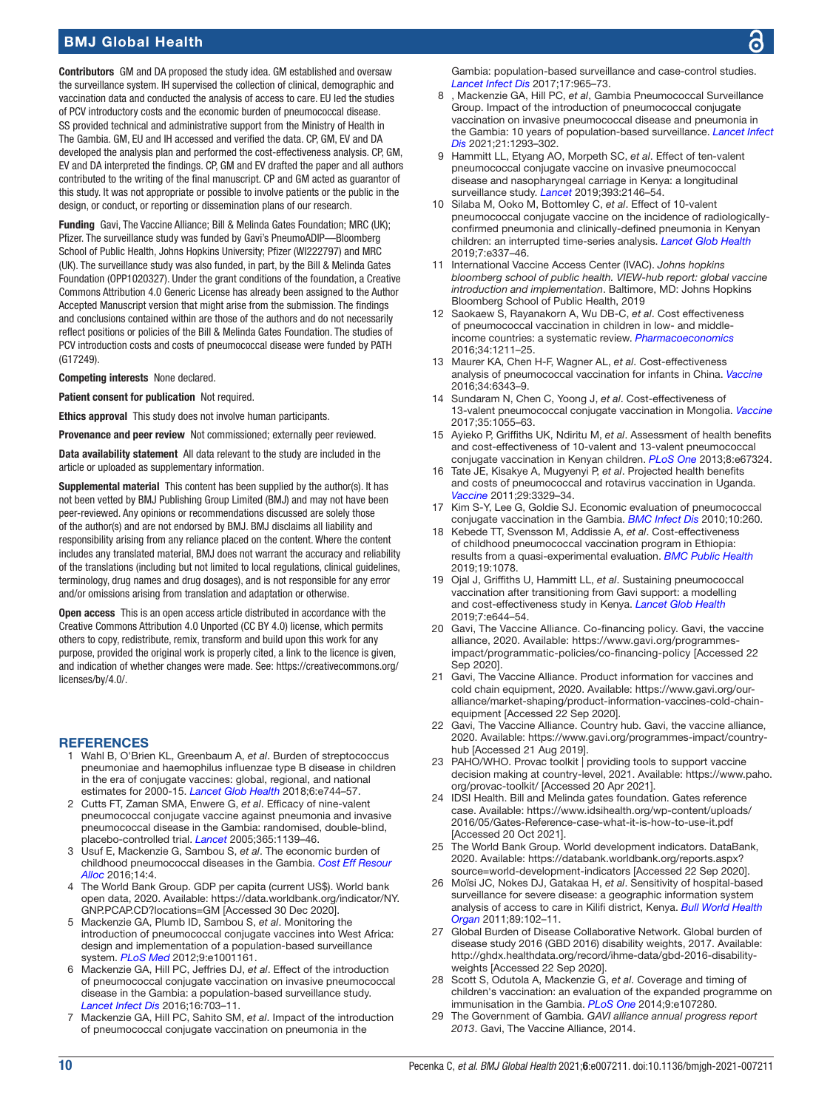### BMJ Global Health

Contributors GM and DA proposed the study idea. GM established and oversaw the surveillance system. IH supervised the collection of clinical, demographic and vaccination data and conducted the analysis of access to care. EU led the studies of PCV introductory costs and the economic burden of pneumococcal disease. SS provided technical and administrative support from the Ministry of Health in The Gambia. GM, EU and IH accessed and verified the data. CP, GM, EV and DA developed the analysis plan and performed the cost-effectiveness analysis. CP, GM, EV and DA interpreted the findings. CP, GM and EV drafted the paper and all authors contributed to the writing of the final manuscript. CP and GM acted as guarantor of this study. It was not appropriate or possible to involve patients or the public in the design, or conduct, or reporting or dissemination plans of our research.

Funding Gavi, The Vaccine Alliance; Bill & Melinda Gates Foundation; MRC (UK); Pfizer. The surveillance study was funded by Gavi's PneumoADIP—Bloomberg School of Public Health, Johns Hopkins University; Pfizer (WI222797) and MRC (UK). The surveillance study was also funded, in part, by the Bill & Melinda Gates Foundation (OPP1020327). Under the grant conditions of the foundation, a Creative Commons Attribution 4.0 Generic License has already been assigned to the Author Accepted Manuscript version that might arise from the submission. The findings and conclusions contained within are those of the authors and do not necessarily reflect positions or policies of the Bill & Melinda Gates Foundation. The studies of PCV introduction costs and costs of pneumococcal disease were funded by PATH (G17249).

Competing interests None declared.

Patient consent for publication Not required.

Ethics approval This study does not involve human participants.

Provenance and peer review Not commissioned; externally peer reviewed.

Data availability statement All data relevant to the study are included in the article or uploaded as supplementary information.

Supplemental material This content has been supplied by the author(s). It has not been vetted by BMJ Publishing Group Limited (BMJ) and may not have been peer-reviewed. Any opinions or recommendations discussed are solely those of the author(s) and are not endorsed by BMJ. BMJ disclaims all liability and responsibility arising from any reliance placed on the content. Where the content includes any translated material, BMJ does not warrant the accuracy and reliability of the translations (including but not limited to local regulations, clinical guidelines, terminology, drug names and drug dosages), and is not responsible for any error and/or omissions arising from translation and adaptation or otherwise.

Open access This is an open access article distributed in accordance with the Creative Commons Attribution 4.0 Unported (CC BY 4.0) license, which permits others to copy, redistribute, remix, transform and build upon this work for any purpose, provided the original work is properly cited, a link to the licence is given, and indication of whether changes were made. See: [https://creativecommons.org/](https://creativecommons.org/licenses/by/4.0/) [licenses/by/4.0/](https://creativecommons.org/licenses/by/4.0/).

#### <span id="page-9-0"></span>**REFERENCES**

- 1 Wahl B, O'Brien KL, Greenbaum A, *et al*. Burden of streptococcus pneumoniae and haemophilus influenzae type B disease in children in the era of conjugate vaccines: global, regional, and national estimates for 2000-15. *[Lancet Glob Health](http://dx.doi.org/10.1016/S2214-109X(18)30247-X)* 2018;6:e744–57.
- <span id="page-9-1"></span>2 Cutts FT, Zaman SMA, Enwere G, *et al*. Efficacy of nine-valent pneumococcal conjugate vaccine against pneumonia and invasive pneumococcal disease in the Gambia: randomised, double-blind, placebo-controlled trial. *[Lancet](http://dx.doi.org/10.1016/S0140-6736(05)71876-6)* 2005;365:1139–46.
- <span id="page-9-2"></span>3 Usuf E, Mackenzie G, Sambou S, *et al*. The economic burden of childhood pneumococcal diseases in the Gambia. *[Cost Eff Resour](http://dx.doi.org/10.1186/s12962-016-0053-4)  [Alloc](http://dx.doi.org/10.1186/s12962-016-0053-4)* 2016;14:4.
- <span id="page-9-3"></span>4 The World Bank Group. GDP per capita (current US\$). World bank open data, 2020. Available: [https://data.worldbank.org/indicator/NY.](https://data.worldbank.org/indicator/NY.GNP.PCAP.CD?locations=GM) [GNP.PCAP.CD?locations=GM](https://data.worldbank.org/indicator/NY.GNP.PCAP.CD?locations=GM) [Accessed 30 Dec 2020].
- <span id="page-9-4"></span>5 Mackenzie GA, Plumb ID, Sambou S, *et al*. Monitoring the introduction of pneumococcal conjugate vaccines into West Africa: design and implementation of a population-based surveillance system. *[PLoS Med](http://dx.doi.org/10.1371/journal.pmed.1001161)* 2012;9:e1001161.
- 6 Mackenzie GA, Hill PC, Jeffries DJ, *et al*. Effect of the introduction of pneumococcal conjugate vaccination on invasive pneumococcal disease in the Gambia: a population-based surveillance study. *[Lancet Infect Dis](http://dx.doi.org/10.1016/S1473-3099(16)00054-2)* 2016;16:703–11.
- <span id="page-9-18"></span>7 Mackenzie GA, Hill PC, Sahito SM, *et al*. Impact of the introduction of pneumococcal conjugate vaccination on pneumonia in the

Gambia: population-based surveillance and case-control studies. *[Lancet Infect Dis](http://dx.doi.org/10.1016/S1473-3099(17)30321-3)* 2017;17:965–73.

- <span id="page-9-5"></span>8 , Mackenzie GA, Hill PC, *et al*, Gambia Pneumococcal Surveillance Group. Impact of the introduction of pneumococcal conjugate vaccination on invasive pneumococcal disease and pneumonia in the Gambia: 10 years of population-based surveillance. *[Lancet Infect](http://dx.doi.org/10.1016/S1473-3099(20)30880-X) [Dis](http://dx.doi.org/10.1016/S1473-3099(20)30880-X)* 2021;21:1293–302.
- <span id="page-9-6"></span>9 Hammitt LL, Etyang AO, Morpeth SC, *et al*. Effect of ten-valent pneumococcal conjugate vaccine on invasive pneumococcal disease and nasopharyngeal carriage in Kenya: a longitudinal surveillance study. *[Lancet](http://dx.doi.org/10.1016/S0140-6736(18)33005-8)* 2019;393:2146–54.
- 10 Silaba M, Ooko M, Bottomley C, *et al*. Effect of 10-valent pneumococcal conjugate vaccine on the incidence of radiologicallyconfirmed pneumonia and clinically-defined pneumonia in Kenyan children: an interrupted time-series analysis. *[Lancet Glob Health](http://dx.doi.org/10.1016/S2214-109X(18)30491-1)* 2019;7:e337–46.
- <span id="page-9-7"></span>11 International Vaccine Access Center (IVAC). *Johns hopkins bloomberg school of public health. VIEW-hub report: global vaccine introduction and implementation*. Baltimore, MD: Johns Hopkins Bloomberg School of Public Health, 2019
- <span id="page-9-8"></span>12 Saokaew S, Rayanakorn A, Wu DB-C, *et al*. Cost effectiveness of pneumococcal vaccination in children in low- and middleincome countries: a systematic review. *[Pharmacoeconomics](http://dx.doi.org/10.1007/s40273-016-0439-3)* 2016;34:1211–25.
- 13 Maurer KA, Chen H-F, Wagner AL, *et al*. Cost-effectiveness analysis of pneumococcal vaccination for infants in China. *[Vaccine](http://dx.doi.org/10.1016/j.vaccine.2016.10.051)* 2016;34:6343–9.
- 14 Sundaram N, Chen C, Yoong J, *et al*. Cost-effectiveness of 13-valent pneumococcal conjugate vaccination in Mongolia. *[Vaccine](http://dx.doi.org/10.1016/j.vaccine.2016.12.070)* 2017;35:1055–63.
- <span id="page-9-9"></span>15 Ayieko P, Griffiths UK, Ndiritu M, *et al*. Assessment of health benefits and cost-effectiveness of 10-valent and 13-valent pneumococcal conjugate vaccination in Kenyan children. *[PLoS One](http://dx.doi.org/10.1371/journal.pone.0067324)* 2013;8:e67324.
- <span id="page-9-22"></span>16 Tate JE, Kisakye A, Mugyenyi P, *et al*. Projected health benefits and costs of pneumococcal and rotavirus vaccination in Uganda. *[Vaccine](http://dx.doi.org/10.1016/j.vaccine.2010.12.122)* 2011;29:3329–34.
- <span id="page-9-21"></span>17 Kim S-Y, Lee G, Goldie SJ. Economic evaluation of pneumococcal conjugate vaccination in the Gambia. *[BMC Infect Dis](http://dx.doi.org/10.1186/1471-2334-10-260)* 2010;10:260.
- 18 Kebede TT, Svensson M, Addissie A, *et al*. Cost-effectiveness of childhood pneumococcal vaccination program in Ethiopia: results from a quasi-experimental evaluation. *[BMC Public Health](http://dx.doi.org/10.1186/s12889-019-7423-8)* 2019;19:1078.
- <span id="page-9-10"></span>19 Ojal J, Griffiths U, Hammitt LL, *et al*. Sustaining pneumococcal vaccination after transitioning from Gavi support: a modelling and cost-effectiveness study in Kenya. *[Lancet Glob Health](http://dx.doi.org/10.1016/S2214-109X(18)30562-X)* 2019;7:e644–54.
- <span id="page-9-11"></span>20 Gavi, The Vaccine Alliance. Co-financing policy. Gavi, the vaccine alliance, 2020. Available: [https://www.gavi.org/programmes](https://www.gavi.org/programmes-impact/programmatic-policies/co-financing-policy)[impact/programmatic-policies/co-financing-policy](https://www.gavi.org/programmes-impact/programmatic-policies/co-financing-policy) [Accessed 22 Sep 2020].
- <span id="page-9-20"></span>21 Gavi, The Vaccine Alliance. Product information for vaccines and cold chain equipment, 2020. Available: [https://www.gavi.org/our](https://www.gavi.org/our-alliance/market-shaping/product-information-vaccines-cold-chain-equipment)[alliance/market-shaping/product-information-vaccines-cold-chain](https://www.gavi.org/our-alliance/market-shaping/product-information-vaccines-cold-chain-equipment)[equipment](https://www.gavi.org/our-alliance/market-shaping/product-information-vaccines-cold-chain-equipment) [Accessed 22 Sep 2020].
- <span id="page-9-12"></span>22 Gavi, The Vaccine Alliance. Country hub. Gavi, the vaccine alliance, 2020. Available: [https://www.gavi.org/programmes-impact/country](https://www.gavi.org/programmes-impact/country-hub)[hub](https://www.gavi.org/programmes-impact/country-hub) [Accessed 21 Aug 2019].
- <span id="page-9-13"></span>23 PAHO/WHO. Provac toolkit | providing tools to support vaccine decision making at country-level, 2021. Available: [https://www.paho.](https://www.paho.org/provac-toolkit/) [org/provac-toolkit/](https://www.paho.org/provac-toolkit/) [Accessed 20 Apr 2021].
- <span id="page-9-14"></span>24 IDSI Health. Bill and Melinda gates foundation. Gates reference case. Available: [https://www.idsihealth.org/wp-content/uploads/](https://www.idsihealth.org/wp-content/uploads/2016/05/Gates-Reference-case-what-it-is-how-to-use-it.pdf) [2016/05/Gates-Reference-case-what-it-is-how-to-use-it.pdf](https://www.idsihealth.org/wp-content/uploads/2016/05/Gates-Reference-case-what-it-is-how-to-use-it.pdf)  [Accessed 20 Oct 2021].
- <span id="page-9-15"></span>25 The World Bank Group. World development indicators. DataBank, 2020. Available: [https://databank.worldbank.org/reports.aspx?](https://databank.worldbank.org/reports.aspx?source=world-development-indicators) [source=world-development-indicators](https://databank.worldbank.org/reports.aspx?source=world-development-indicators) [Accessed 22 Sep 2020].
- <span id="page-9-16"></span>26 Moïsi JC, Nokes DJ, Gatakaa H, *et al*. Sensitivity of hospital-based surveillance for severe disease: a geographic information system analysis of access to care in Kilifi district, Kenya. *[Bull World Health](http://dx.doi.org/10.2471/BLT.10.080796)  [Organ](http://dx.doi.org/10.2471/BLT.10.080796)* 2011;89:102–11.
- <span id="page-9-17"></span>27 Global Burden of Disease Collaborative Network. Global burden of disease study 2016 (GBD 2016) disability weights, 2017. Available: [http://ghdx.healthdata.org/record/ihme-data/gbd-2016-disability](http://ghdx.healthdata.org/record/ihme-data/gbd-2016-disability-weights)[weights](http://ghdx.healthdata.org/record/ihme-data/gbd-2016-disability-weights) [Accessed 22 Sep 2020].
- <span id="page-9-19"></span>28 Scott S, Odutola A, Mackenzie G, *et al*. Coverage and timing of children's vaccination: an evaluation of the expanded programme on immunisation in the Gambia. *[PLoS One](http://dx.doi.org/10.1371/journal.pone.0107280)* 2014;9:e107280.
- 29 The Government of Gambia. *GAVI alliance annual progress report 2013*. Gavi, The Vaccine Alliance, 2014.